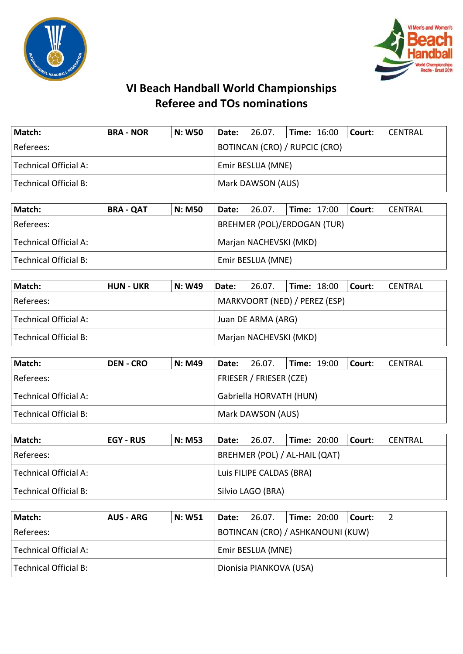



## **VI Beach Handball World Championships Referee and TOs nominations**

| Match:                | <b>BRA - NOR</b> | N: W50 | Date:                         | 26.07. |  | $ Time: 16:00$ $ Counter:$ |  | CENTRAL |
|-----------------------|------------------|--------|-------------------------------|--------|--|----------------------------|--|---------|
| Referees:             |                  |        | BOTINCAN (CRO) / RUPCIC (CRO) |        |  |                            |  |         |
| Technical Official A: |                  |        | Emir BESLIJA (MNE)            |        |  |                            |  |         |
| Technical Official B: |                  |        | Mark DAWSON (AUS)             |        |  |                            |  |         |

| Match:                | <b>BRA - QAT</b>       | <b>N: M50</b> | Date:              | 26.07.                             |  |  | $\blacksquare$ Time: 17:00 $\blacksquare$ Court: | CENTRAL |
|-----------------------|------------------------|---------------|--------------------|------------------------------------|--|--|--------------------------------------------------|---------|
| Referees:             |                        |               |                    | <b>BREHMER (POL)/ERDOGAN (TUR)</b> |  |  |                                                  |         |
| Technical Official A: | Marjan NACHEVSKI (MKD) |               |                    |                                    |  |  |                                                  |         |
| Technical Official B: |                        |               | Emir BESLIJA (MNE) |                                    |  |  |                                                  |         |

| Match:                | <b>HUN - UKR</b> | N: W49             | Date:                  | 26.07.                        |  | $\textsf{Time: } 18:00$ Court: |  | CENTRAL |
|-----------------------|------------------|--------------------|------------------------|-------------------------------|--|--------------------------------|--|---------|
| Referees:             |                  |                    |                        | MARKVOORT (NED) / PEREZ (ESP) |  |                                |  |         |
| Technical Official A: |                  | Juan DE ARMA (ARG) |                        |                               |  |                                |  |         |
| Technical Official B: |                  |                    | Marjan NACHEVSKI (MKD) |                               |  |                                |  |         |

| Match:                  | <b>DEN - CRO</b> | N: M49 | <b>Date:</b> 26.07.     |  | <b>Time: 1</b> 9:00 |  | l Court: I | CENTRAL |  |  |
|-------------------------|------------------|--------|-------------------------|--|---------------------|--|------------|---------|--|--|
| l Referees: l           |                  |        | FRIESER / FRIESER (CZE) |  |                     |  |            |         |  |  |
| l Technical Official A: |                  |        | Gabriella HORVATH (HUN) |  |                     |  |            |         |  |  |
| Technical Official B:   |                  |        | Mark DAWSON (AUS)       |  |                     |  |            |         |  |  |

| Match:                | <b>EGY - RUS</b> | <b>N: M53</b>            | Date: | 26.07.                        |  | <b>Time: 20:00</b> | l Court: | CENTRAL |
|-----------------------|------------------|--------------------------|-------|-------------------------------|--|--------------------|----------|---------|
| Referees:             |                  |                          |       | BREHMER (POL) / AL-HAIL (QAT) |  |                    |          |         |
| Technical Official A: |                  | Luis FILIPE CALDAS (BRA) |       |                               |  |                    |          |         |
| Technical Official B: |                  |                          |       | Silvio LAGO (BRA)             |  |                    |          |         |

| <b>Match:</b>         | <b>AUS - ARG</b> | <b>N: W51</b> | Date: | 26.07.                            | $\blacksquare$ Time: 20:00 |  | l Court: |  |  |
|-----------------------|------------------|---------------|-------|-----------------------------------|----------------------------|--|----------|--|--|
| Referees:             |                  |               |       | BOTINCAN (CRO) / ASHKANOUNI (KUW) |                            |  |          |  |  |
| Technical Official A: |                  |               |       | Emir BESLIJA (MNE)                |                            |  |          |  |  |
| Technical Official B: |                  |               |       | Dionisia PIANKOVA (USA)           |                            |  |          |  |  |